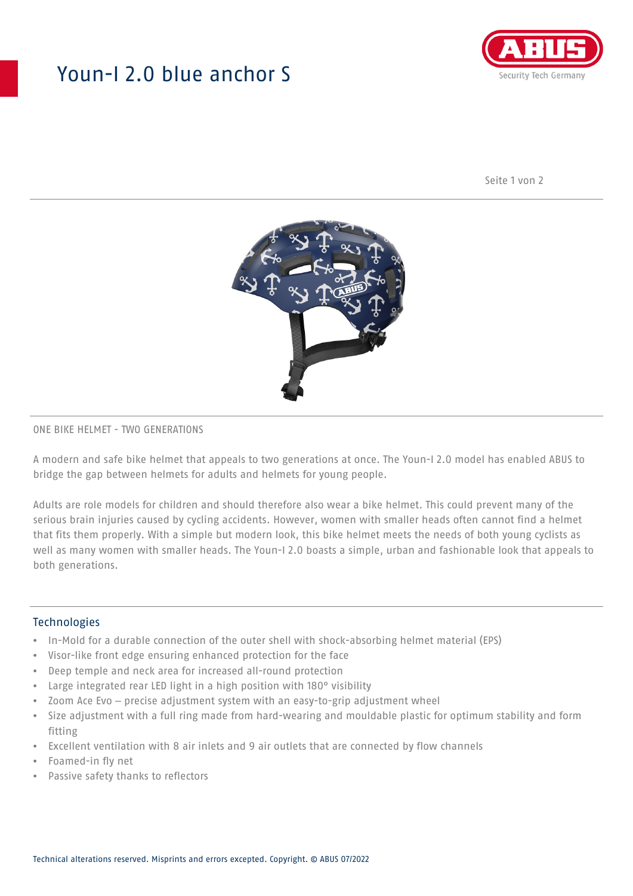# Youn-I 2.0 blue anchor S



Seite 1 von 2



### ONE BIKE HELMET - TWO GENERATIONS

A modern and safe bike helmet that appeals to two generations at once. The Youn-I 2.0 model has enabled ABUS to bridge the gap between helmets for adults and helmets for young people.

Adults are role models for children and should therefore also wear a bike helmet. This could prevent many of the serious brain injuries caused by cycling accidents. However, women with smaller heads often cannot find a helmet that fits them properly. With a simple but modern look, this bike helmet meets the needs of both young cyclists as well as many women with smaller heads. The Youn-I 2.0 boasts a simple, urban and fashionable look that appeals to both generations.

#### **Technologies**

- In-Mold for a durable connection of the outer shell with shock-absorbing helmet material (EPS)
- Visor-like front edge ensuring enhanced protection for the face
- Deep temple and neck area for increased all-round protection
- Large integrated rear LED light in a high position with 180° visibility
- Zoom Ace Evo precise adjustment system with an easy-to-grip adjustment wheel
- Size adjustment with a full ring made from hard-wearing and mouldable plastic for optimum stability and form fitting
- Excellent ventilation with 8 air inlets and 9 air outlets that are connected by flow channels
- Foamed-in fly net
- Passive safety thanks to reflectors